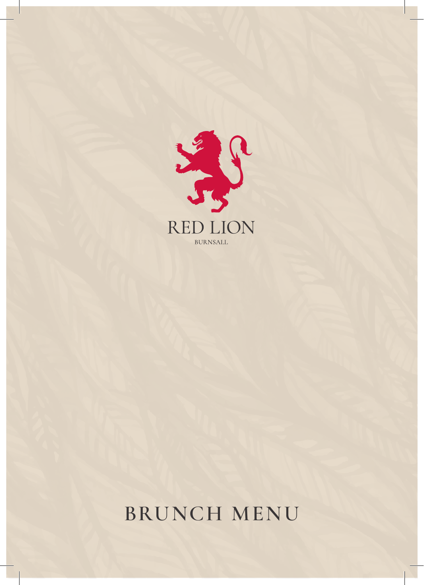

# **BRUNCH MENU**